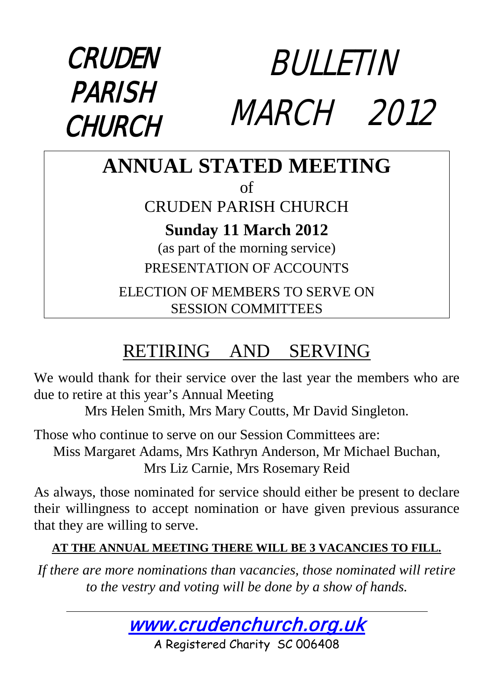

#### **ANNUAL STATED MEETING** of CRUDEN PARISH CHURCH **Sunday 11 March 2012** (as part of the morning service) PRESENTATION OF ACCOUNTS ELECTION OF MEMBERS TO SERVE ON SESSION COMMITTEES

## RETIRING AND SERVING

We would thank for their service over the last year the members who are due to retire at this year's Annual Meeting

Mrs Helen Smith, Mrs Mary Coutts, Mr David Singleton.

Those who continue to serve on our Session Committees are: Miss Margaret Adams, Mrs Kathryn Anderson, Mr Michael Buchan, Mrs Liz Carnie, Mrs Rosemary Reid

As always, those nominated for service should either be present to declare their willingness to accept nomination or have given previous assurance that they are willing to serve.

#### **AT THE ANNUAL MEETING THERE WILL BE 3 VACANCIES TO FILL.**

*If there are more nominations than vacancies, those nominated will retire to the vestry and voting will be done by a show of hands.*



A Registered Charity SC 006408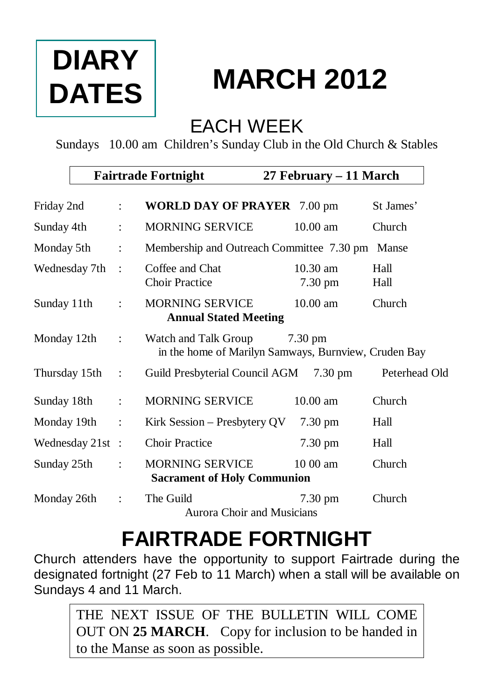# **DIARY DATES**

# **MARCH 2012**

#### EACH WEEK

Sundays 10.00 am Children's Sunday Club in the Old Church & Stables

|                  |                      | <b>Fairtrade Fortnight</b>                                                   | 27 February – 11 March |               |
|------------------|----------------------|------------------------------------------------------------------------------|------------------------|---------------|
| Friday 2nd       | ÷                    | <b>WORLD DAY OF PRAYER 7.00 pm</b>                                           |                        | St James'     |
| Sunday 4th       | $\ddot{\phantom{a}}$ | <b>MORNING SERVICE</b>                                                       | $10.00$ am             | Church        |
| Monday 5th       | $\ddot{\cdot}$       | Membership and Outreach Committee 7.30 pm                                    |                        | Manse         |
| Wednesday 7th    | $\cdot$              | Coffee and Chat<br><b>Choir Practice</b>                                     | $10.30$ am<br>7.30 pm  | Hall<br>Hall  |
| Sunday 11th      |                      | <b>MORNING SERVICE</b><br><b>Annual Stated Meeting</b>                       | $10.00 \text{ am}$     | Church        |
| Monday 12th      | $\ddot{\cdot}$       | Watch and Talk Group<br>in the home of Marilyn Samways, Burnview, Cruden Bay | $7.30 \text{ pm}$      |               |
| Thursday 15th    | $\ddot{\phantom{a}}$ | Guild Presbyterial Council AGM                                               | $7.30 \text{ pm}$      | Peterhead Old |
| Sunday 18th      | $\ddot{\cdot}$       | <b>MORNING SERVICE</b>                                                       | $10.00$ am             | Church        |
| Monday 19th      | $\ddot{\cdot}$       | Kirk Session – Presbytery QV                                                 | 7.30 pm                | Hall          |
| Wednesday 21st : |                      | <b>Choir Practice</b>                                                        | 7.30 pm                | Hall          |
| Sunday 25th      |                      | <b>MORNING SERVICE</b><br><b>Sacrament of Holy Communion</b>                 | $1000$ am              | Church        |
| Monday 26th      |                      | The Guild<br>Aurora Choir and Musicians                                      | $7.30 \text{ pm}$      | Church        |

## **FAIRTRADE FORTNIGHT**

Church attenders have the opportunity to support Fairtrade during the designated fortnight (27 Feb to 11 March) when a stall will be available on Sundays 4 and 11 March.

THE NEXT ISSUE OF THE BULLETIN WILL COME OUT ON **25 MARCH**. Copy for inclusion to be handed in to the Manse as soon as possible.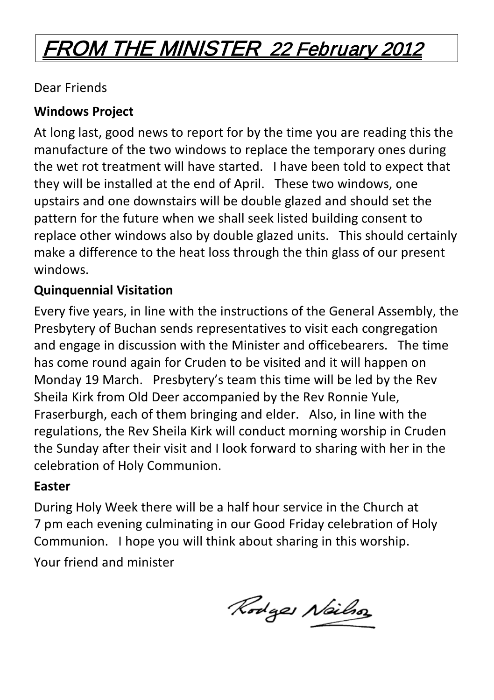## FROM THE MINISTER 22 February 2012

Dear Friends

#### **Windows Project**

At long last, good news to report for by the time you are reading this the manufacture of the two windows to replace the temporary ones during the wet rot treatment will have started. I have been told to expect that they will be installed at the end of April. These two windows, one upstairs and one downstairs will be double glazed and should set the pattern for the future when we shall seek listed building consent to replace other windows also by double glazed units. This should certainly make a difference to the heat loss through the thin glass of our present windows.

#### **Quinquennial Visitation**

Every five years, in line with the instructions of the General Assembly, the Presbytery of Buchan sends representatives to visit each congregation and engage in discussion with the Minister and officebearers. The time has come round again for Cruden to be visited and it will happen on Monday 19 March. Presbytery's team this time will be led by the Rev Sheila Kirk from Old Deer accompanied by the Rev Ronnie Yule, Fraserburgh, each of them bringing and elder. Also, in line with the regulations, the Rev Sheila Kirk will conduct morning worship in Cruden the Sunday after their visit and I look forward to sharing with her in the celebration of Holy Communion.

#### **Easter**

During Holy Week there will be a half hour service in the Church at 7 pm each evening culminating in our Good Friday celebration of Holy Communion. I hope you will think about sharing in this worship. Your friend and minister

Rodges Neilso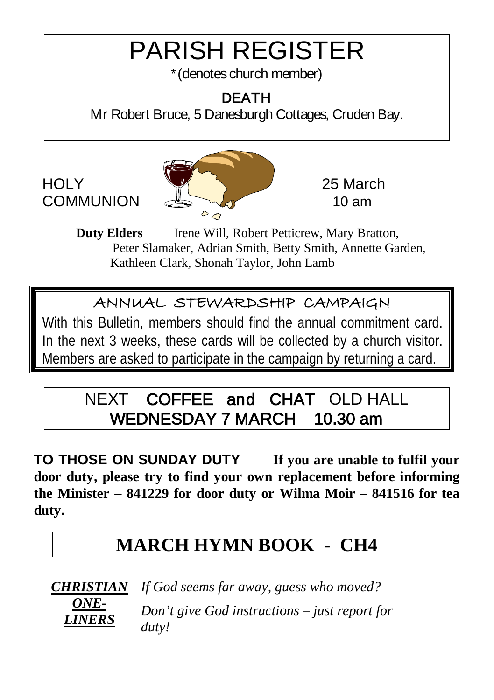## PARISH REGISTER

\*(denotes church member)

#### DEATH

Mr Robert Bruce, 5 Danesburgh Cottages, Cruden Bay.



**Duty Elders** Irene Will, Robert Petticrew, Mary Bratton, Peter Slamaker, Adrian Smith, Betty Smith, Annette Garden, Kathleen Clark, Shonah Taylor, John Lamb

#### ANNUAL STEWARDSHIP CAMPAIGN

With this Bulletin, members should find the annual commitment card. In the next 3 weeks, these cards will be collected by a church visitor. Members are asked to participate in the campaign by returning a card.

#### NEXT COFFEE and CHAT OLD HALL WEDNESDAY 7 MARCH 10.30 am

**TO THOSE ON SUNDAY DUTY If you are unable to fulfil your door duty, please try to find your own replacement before informing the Minister – 841229 for door duty or Wilma Moir – 841516 for tea duty.**

#### **MARCH HYMN BOOK - CH4**



*If God seems far away, guess who moved? Don't give God instructions – just report for duty!*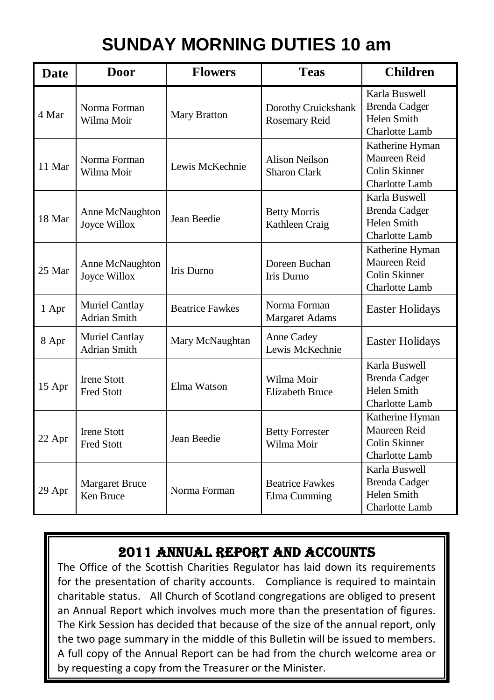## **SUNDAY MORNING DUTIES 10 am**

| <b>Date</b> | Door                                    | <b>Flowers</b>         | <b>Teas</b>                                  | <b>Children</b>                                                               |
|-------------|-----------------------------------------|------------------------|----------------------------------------------|-------------------------------------------------------------------------------|
| 4 Mar       | Norma Forman<br>Wilma Moir              | Mary Bratton           | Dorothy Cruickshank<br>Rosemary Reid         | Karla Buswell<br>Brenda Cadger<br>Helen Smith<br>Charlotte Lamb               |
| 11 Mar      | Norma Forman<br>Wilma Moir              | Lewis McKechnie        | <b>Alison Neilson</b><br><b>Sharon Clark</b> | Katherine Hyman<br>Maureen Reid<br>Colin Skinner<br><b>Charlotte Lamb</b>     |
| 18 Mar      | Anne McNaughton<br>Joyce Willox         | Jean Beedie            | <b>Betty Morris</b><br>Kathleen Craig        | Karla Buswell<br>Brenda Cadger<br>Helen Smith<br>Charlotte Lamb               |
| 25 Mar      | Anne McNaughton<br><b>Joyce Willox</b>  | Iris Durno             | Doreen Buchan<br>Iris Durno                  | Katherine Hyman<br>Maureen Reid<br>Colin Skinner<br>Charlotte Lamb            |
| 1 Apr       | Muriel Cantlay<br>Adrian Smith          | <b>Beatrice Fawkes</b> | Norma Forman<br>Margaret Adams               | <b>Easter Holidays</b>                                                        |
| 8 Apr       | Muriel Cantlay<br><b>Adrian Smith</b>   | Mary McNaughtan        | Anne Cadey<br>Lewis McKechnie                | <b>Easter Holidays</b>                                                        |
| 15 Apr      | <b>Irene Stott</b><br><b>Fred Stott</b> | Elma Watson            | Wilma Moir<br><b>Elizabeth Bruce</b>         | Karla Buswell<br><b>Brenda Cadger</b><br>Helen Smith<br>Charlotte Lamb        |
| 22 Apr      | <b>Irene Stott</b><br><b>Fred Stott</b> | Jean Beedie            | <b>Betty Forrester</b><br>Wilma Moir         | Katherine Hyman<br>Maureen Reid<br>Colin Skinner<br>Charlotte Lamb            |
| 29 Apr      | <b>Margaret Bruce</b><br>Ken Bruce      | Norma Forman           | <b>Beatrice Fawkes</b><br>Elma Cumming       | Karla Buswell<br><b>Brenda Cadger</b><br>Helen Smith<br><b>Charlotte Lamb</b> |

#### ı 2011 ANNUAL REPORT AND ACCOUNTS

The Office of the Scottish Charities Regulator has laid down its requirements for the presentation of charity accounts. Compliance is required to maintain charitable status. All Church of Scotland congregations are obliged to present an Annual Report which involves much more than the presentation of figures. The Kirk Session has decided that because of the size of the annual report, only the two page summary in the middle of this Bulletin will be issued to members. A full copy of the Annual Report can be had from the church welcome area or by requesting a copy from the Treasurer or the Minister.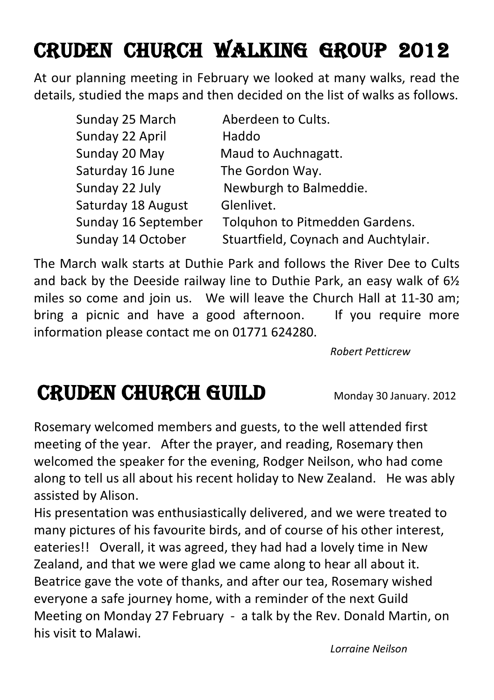## Cruden CHURCH WALKing group 2012

At our planning meeting in February we looked at many walks, read the details, studied the maps and then decided on the list of walks as follows.

| Sunday 25 March     | Aberdeen to Cults.                   |
|---------------------|--------------------------------------|
| Sunday 22 April     | Haddo                                |
| Sunday 20 May       | Maud to Auchnagatt.                  |
| Saturday 16 June    | The Gordon Way.                      |
| Sunday 22 July      | Newburgh to Balmeddie.               |
| Saturday 18 August  | Glenlivet.                           |
| Sunday 16 September | Tolquhon to Pitmedden Gardens.       |
| Sunday 14 October   | Stuartfield, Coynach and Auchtylair. |

The March walk starts at Duthie Park and follows the River Dee to Cults and back by the Deeside railway line to Duthie Park, an easy walk of 6½ miles so come and join us. We will leave the Church Hall at 11-30 am; bring a picnic and have a good afternoon. If you require more information please contact me on 01771 624280.

*Robert Petticrew*

## CRUDEN CHURCH GUILD Monday 30 January. 2012

Rosemary welcomed members and guests, to the well attended first meeting of the year. After the prayer, and reading, Rosemary then welcomed the speaker for the evening, Rodger Neilson, who had come along to tell us all about his recent holiday to New Zealand. He was ably assisted by Alison.

His presentation was enthusiastically delivered, and we were treated to many pictures of his favourite birds, and of course of his other interest, eateries!! Overall, it was agreed, they had had a lovely time in New Zealand, and that we were glad we came along to hear all about it. Beatrice gave the vote of thanks, and after our tea, Rosemary wished everyone a safe journey home, with a reminder of the next Guild Meeting on Monday 27 February - a talk by the Rev. Donald Martin, on his visit to Malawi.

*Lorraine Neilson*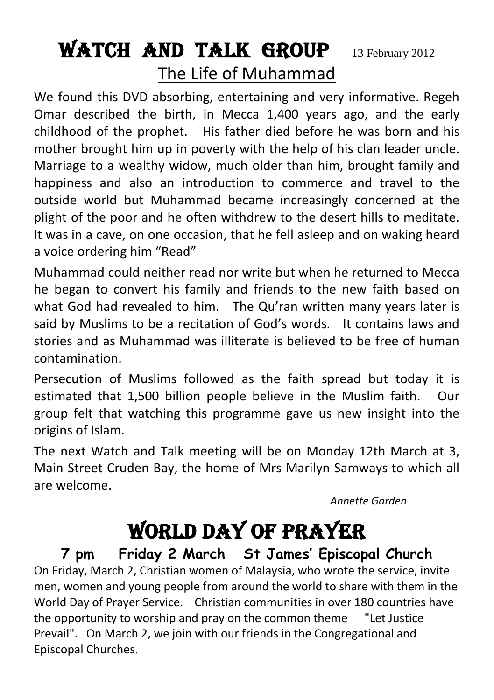## WATCH AND TALK GROUP 13 February 2012 The Life of Muhammad

We found this DVD absorbing, entertaining and very informative. Regeh Omar described the birth, in Mecca 1,400 years ago, and the early childhood of the prophet. His father died before he was born and his mother brought him up in poverty with the help of his clan leader uncle. Marriage to a wealthy widow, much older than him, brought family and happiness and also an introduction to commerce and travel to the outside world but Muhammad became increasingly concerned at the plight of the poor and he often withdrew to the desert hills to meditate. It was in a cave, on one occasion, that he fell asleep and on waking heard a voice ordering him "Read"

Muhammad could neither read nor write but when he returned to Mecca he began to convert his family and friends to the new faith based on what God had revealed to him. The Qu'ran written many years later is said by Muslims to be a recitation of God's words. It contains laws and stories and as Muhammad was illiterate is believed to be free of human contamination.

Persecution of Muslims followed as the faith spread but today it is estimated that 1,500 billion people believe in the Muslim faith. Our group felt that watching this programme gave us new insight into the origins of Islam.

The next Watch and Talk meeting will be on Monday 12th March at 3, Main Street Cruden Bay, the home of Mrs Marilyn Samways to which all are welcome.

*Annette Garden*

## WORLD DAY OF PRAYER

**7 pm Friday 2 March St James' Episcopal Church** On Friday, March 2, Christian women of Malaysia, who wrote the service, invite men, women and young people from around the world to share with them in the World Day of Prayer Service. Christian communities in over 180 countries have the opportunity to worship and pray on the common theme "Let Justice Prevail". On March 2, we join with our friends in the Congregational and Episcopal Churches.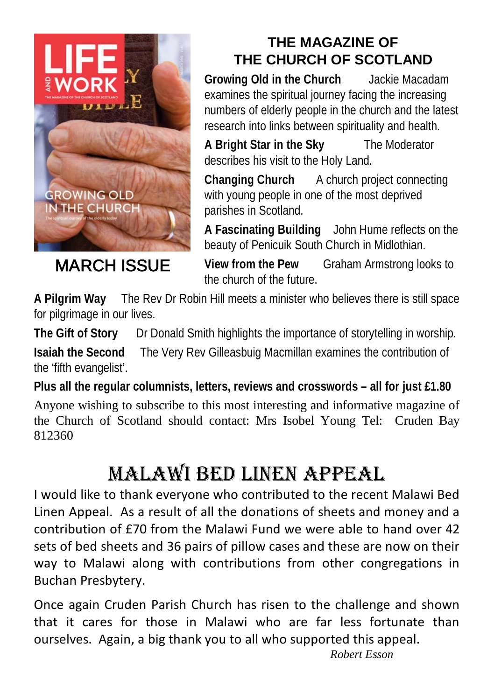

MARCH ISSUE

#### **THE MAGAZINE OF THE CHURCH OF SCOTLAND**

**Growing Old in the Church** Jackie Macadam examines the spiritual journey facing the increasing numbers of elderly people in the church and the latest research into links between spirituality and health.

**A Bright Star in the Sky** The Moderator describes his visit to the Holy Land.

**Changing Church** A church project connecting with young people in one of the most deprived parishes in Scotland.

**A Fascinating Building** John Hume reflects on the beauty of Penicuik South Church in Midlothian.

**View from the Pew** Graham Armstrong looks to the church of the future.

**A Pilgrim Way** The Rev Dr Robin Hill meets a minister who believes there is still space for pilgrimage in our lives.

**The Gift of Story** Dr Donald Smith highlights the importance of storytelling in worship.

**Isaiah the Second** The Very Rev Gilleasbuig Macmillan examines the contribution of the 'fifth evangelist'.

**Plus all the regular columnists, letters, reviews and crosswords – all for just £1.80**

Anyone wishing to subscribe to this most interesting and informative magazine of the Church of Scotland should contact: Mrs Isobel Young Tel: Cruden Bay 812360

## Malawi Bed Linen Appeal

I would like to thank everyone who contributed to the recent Malawi Bed Linen Appeal. As a result of all the donations of sheets and money and a contribution of £70 from the Malawi Fund we were able to hand over 42 sets of bed sheets and 36 pairs of pillow cases and these are now on their way to Malawi along with contributions from other congregations in Buchan Presbytery.

Once again Cruden Parish Church has risen to the challenge and shown that it cares for those in Malawi who are far less fortunate than ourselves. Again, a big thank you to all who supported this appeal.

*Robert Esson*